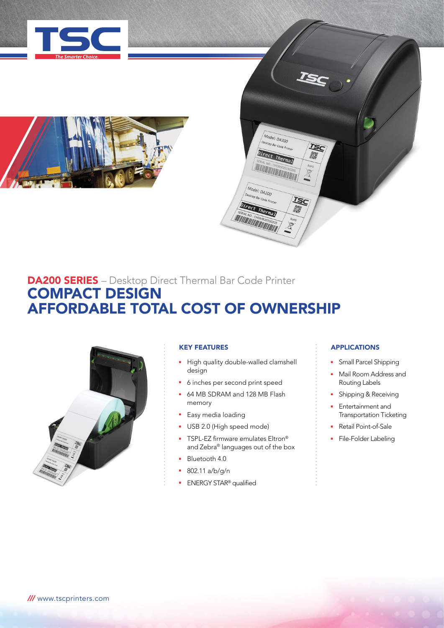



# DA200 SERIES – Desktop Direct Thermal Bar Code Printer COMPACT DESIGN AFFORDABLE TOTAL COST OF OWNERSHIP



## KEY FEATURES

• High quality double-walled clamshell design

Model: DA200 esktop Bar Code Printe

Direct Therm

**MARINE CHOMR201** 

Model: DA200 esktop Bar Code Pn Direct Therma SERIAL NO : CHOMB201502

**TSC** 

- 6 inches per second print speed
- **64 MB SDRAM and 128 MB Flash** memory
- **Easy media loading**
- USB 2.0 (High speed mode)
- **TSPL-EZ firmware emulates Eltron®** and Zebra® languages out of the box
- **Bluetooth 4.0**
- <sup>n</sup> 802.11 a/b/g/n
- **ENERGY STAR®** qualified

## APPLICATIONS

- Small Parcel Shipping
- Mail Room Address and Routing Labels
- **Bridge Brand** & Receiving
- <sup>n</sup> Entertainment and Transportation Ticketing
- Retail Point-of-Sale
- File-Folder Labeling